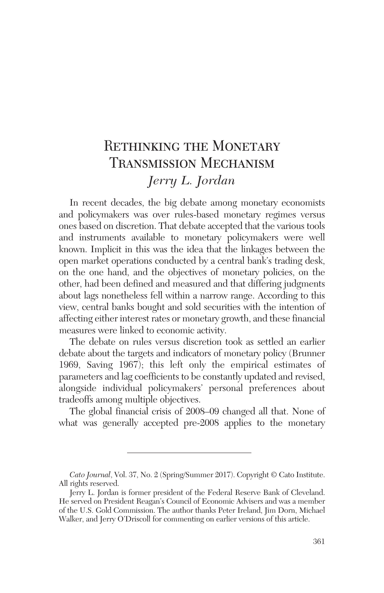# RETHINKING THE MONETARY Transmission Mechanism *Jerry L. Jordan*

In recent decades, the big debate among monetary economists and policymakers was over rules-based monetary regimes versus ones based on discretion. That debate accepted that the various tools and instruments available to monetary policymakers were well known. Implicit in this was the idea that the linkages between the open market operations conducted by a central bank's trading desk, on the one hand, and the objectives of monetary policies, on the other, had been defined and measured and that differing judgments about lags nonetheless fell within a narrow range. According to this view, central banks bought and sold securities with the intention of affecting either interest rates or monetary growth, and these financial measures were linked to economic activity.

The debate on rules versus discretion took as settled an earlier debate about the targets and indicators of monetary policy (Brunner 1969, Saving 1967); this left only the empirical estimates of parameters and lag coefficients to be constantly updated and revised, alongside individual policymakers' personal preferences about tradeoffs among multiple objectives.

The global financial crisis of 2008–09 changed all that. None of what was generally accepted pre-2008 applies to the monetary

*Cato Journal*, Vol. 37, No. 2 (Spring/Summer 2017). Copyright © Cato Institute. All rights reserved.

Jerry L. Jordan is former president of the Federal Reserve Bank of Cleveland. He served on President Reagan's Council of Economic Advisers and was a member of the U.S. Gold Commission. The author thanks Peter Ireland, Jim Dorn, Michael Walker, and Jerry O'Driscoll for commenting on earlier versions of this article.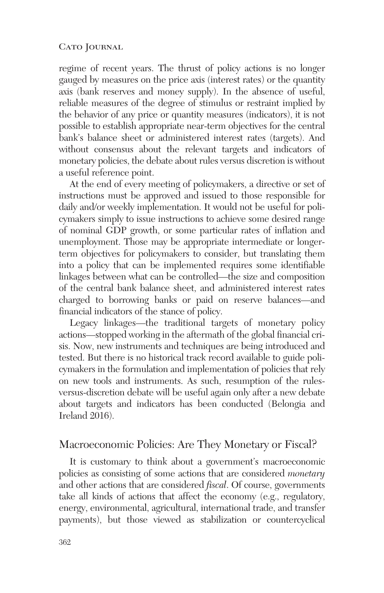regime of recent years. The thrust of policy actions is no longer gauged by measures on the price axis (interest rates) or the quantity axis (bank reserves and money supply). In the absence of useful, reliable measures of the degree of stimulus or restraint implied by the behavior of any price or quantity measures (indicators), it is not possible to establish appropriate near-term objectives for the central bank's balance sheet or administered interest rates (targets). And without consensus about the relevant targets and indicators of monetary policies, the debate about rules versus discretion is without a useful reference point.

At the end of every meeting of policymakers, a directive or set of instructions must be approved and issued to those responsible for daily and/or weekly implementation. It would not be useful for policymakers simply to issue instructions to achieve some desired range of nominal GDP growth, or some particular rates of inflation and unemployment. Those may be appropriate intermediate or longerterm objectives for policymakers to consider, but translating them into a policy that can be implemented requires some identifiable linkages between what can be controlled—the size and composition of the central bank balance sheet, and administered interest rates charged to borrowing banks or paid on reserve balances—and financial indicators of the stance of policy.

Legacy linkages—the traditional targets of monetary policy actions—stopped working in the aftermath of the global financial crisis. Now, new instruments and techniques are being introduced and tested. But there is no historical track record available to guide policymakers in the formulation and implementation of policies that rely on new tools and instruments. As such, resumption of the rulesversus-discretion debate will be useful again only after a new debate about targets and indicators has been conducted (Belongia and Ireland 2016).

### Macroeconomic Policies: Are They Monetary or Fiscal?

It is customary to think about a government's macroeconomic policies as consisting of some actions that are considered *monetary* and other actions that are considered *fiscal*. Of course, governments take all kinds of actions that affect the economy (e.g., regulatory, energy, environmental, agricultural, international trade, and transfer payments), but those viewed as stabilization or countercyclical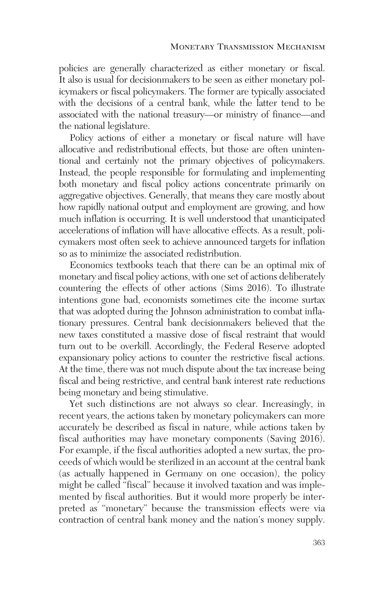policies are generally characterized as either monetary or fiscal. It also is usual for decisionmakers to be seen as either monetary policymakers or fiscal policymakers. The former are typically associated with the decisions of a central bank, while the latter tend to be associated with the national treasury—or ministry of finance—and the national legislature.

Policy actions of either a monetary or fiscal nature will have allocative and redistributional effects, but those are often unintentional and certainly not the primary objectives of policymakers. Instead, the people responsible for formulating and implementing both monetary and fiscal policy actions concentrate primarily on aggregative objectives. Generally, that means they care mostly about how rapidly national output and employment are growing, and how much inflation is occurring. It is well understood that unanticipated accelerations of inflation will have allocative effects. As a result, policymakers most often seek to achieve announced targets for inflation so as to minimize the associated redistribution.

Economics textbooks teach that there can be an optimal mix of monetary and fiscal policy actions, with one set of actions deliberately countering the effects of other actions (Sims 2016). To illustrate intentions gone bad, economists sometimes cite the income surtax that was adopted during the Johnson administration to combat inflationary pressures. Central bank decisionmakers believed that the new taxes constituted a massive dose of fiscal restraint that would turn out to be overkill. Accordingly, the Federal Reserve adopted expansionary policy actions to counter the restrictive fiscal actions. At the time, there was not much dispute about the tax increase being fiscal and being restrictive, and central bank interest rate reductions being monetary and being stimulative.

Yet such distinctions are not always so clear. Increasingly, in recent years, the actions taken by monetary policymakers can more accurately be described as fiscal in nature, while actions taken by fiscal authorities may have monetary components (Saving 2016). For example, if the fiscal authorities adopted a new surtax, the proceeds of which would be sterilized in an account at the central bank (as actually happened in Germany on one occasion), the policy might be called "fiscal" because it involved taxation and was implemented by fiscal authorities. But it would more properly be interpreted as "monetary" because the transmission effects were via contraction of central bank money and the nation's money supply.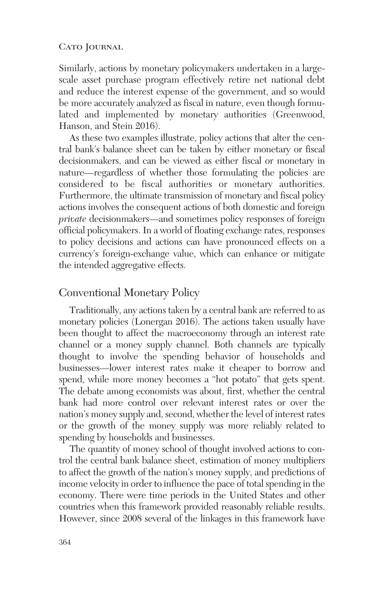Similarly, actions by monetary policymakers undertaken in a largescale asset purchase program effectively retire net national debt and reduce the interest expense of the government, and so would be more accurately analyzed as fiscal in nature, even though formulated and implemented by monetary authorities (Greenwood, Hanson, and Stein 2016).

As these two examples illustrate, policy actions that alter the central bank's balance sheet can be taken by either monetary or fiscal decisionmakers, and can be viewed as either fiscal or monetary in nature—regardless of whether those formulating the policies are considered to be fiscal authorities or monetary authorities. Furthermore, the ultimate transmission of monetary and fiscal policy actions involves the consequent actions of both domestic and foreign *private* decisionmakers—and sometimes policy responses of foreign official policymakers. In a world of floating exchange rates, responses to policy decisions and actions can have pronounced effects on a currency's foreign-exchange value, which can enhance or mitigate the intended aggregative effects.

# Conventional Monetary Policy

Traditionally, any actions taken by a central bank are referred to as monetary policies (Lonergan 2016). The actions taken usually have been thought to affect the macroeconomy through an interest rate channel or a money supply channel. Both channels are typically thought to involve the spending behavior of households and businesses—lower interest rates make it cheaper to borrow and spend, while more money becomes a "hot potato" that gets spent. The debate among economists was about, first, whether the central bank had more control over relevant interest rates or over the nation's money supply and, second, whether the level of interest rates or the growth of the money supply was more reliably related to spending by households and businesses.

The quantity of money school of thought involved actions to control the central bank balance sheet, estimation of money multipliers to affect the growth of the nation's money supply, and predictions of income velocity in order to influence the pace of total spending in the economy. There were time periods in the United States and other countries when this framework provided reasonably reliable results. However, since 2008 several of the linkages in this framework have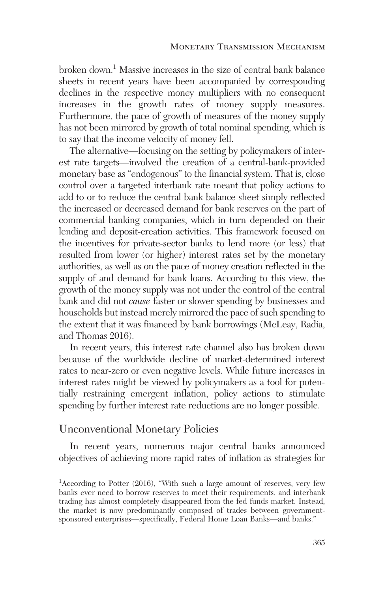broken down.<sup>1</sup> Massive increases in the size of central bank balance sheets in recent years have been accompanied by corresponding declines in the respective money multipliers with no consequent increases in the growth rates of money supply measures. Furthermore, the pace of growth of measures of the money supply has not been mirrored by growth of total nominal spending, which is to say that the income velocity of money fell.

The alternative—focusing on the setting by policymakers of interest rate targets—involved the creation of a central-bank-provided monetary base as "endogenous" to the financial system. That is, close control over a targeted interbank rate meant that policy actions to add to or to reduce the central bank balance sheet simply reflected the increased or decreased demand for bank reserves on the part of commercial banking companies, which in turn depended on their lending and deposit-creation activities. This framework focused on the incentives for private-sector banks to lend more (or less) that resulted from lower (or higher) interest rates set by the monetary authorities, as well as on the pace of money creation reflected in the supply of and demand for bank loans. According to this view, the growth of the money supply was not under the control of the central bank and did not *cause* faster or slower spending by businesses and households but instead merely mirrored the pace of such spending to the extent that it was financed by bank borrowings (McLeay, Radia, and Thomas 2016).

In recent years, this interest rate channel also has broken down because of the worldwide decline of market-determined interest rates to near-zero or even negative levels. While future increases in interest rates might be viewed by policymakers as a tool for potentially restraining emergent inflation, policy actions to stimulate spending by further interest rate reductions are no longer possible.

### Unconventional Monetary Policies

In recent years, numerous major central banks announced objectives of achieving more rapid rates of inflation as strategies for

<sup>&</sup>lt;sup>1</sup>According to Potter (2016), "With such a large amount of reserves, very few banks ever need to borrow reserves to meet their requirements, and interbank trading has almost completely disappeared from the fed funds market. Instead, the market is now predominantly composed of trades between governmentsponsored enterprises—specifically, Federal Home Loan Banks—and banks."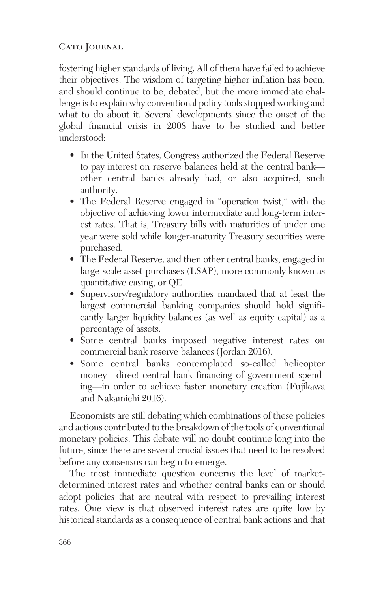fostering higher standards of living. All of them have failed to achieve their objectives. The wisdom of targeting higher inflation has been, and should continue to be, debated, but the more immediate challenge is to explain why conventional policy tools stopped working and what to do about it. Several developments since the onset of the global financial crisis in 2008 have to be studied and better understood:

- In the United States, Congress authorized the Federal Reserve to pay interest on reserve balances held at the central bank other central banks already had, or also acquired, such authority.
- The Federal Reserve engaged in "operation twist," with the objective of achieving lower intermediate and long-term interest rates. That is, Treasury bills with maturities of under one year were sold while longer-maturity Treasury securities were purchased.
- The Federal Reserve, and then other central banks, engaged in large-scale asset purchases (LSAP), more commonly known as quantitative easing, or QE.
- Supervisory/regulatory authorities mandated that at least the largest commercial banking companies should hold significantly larger liquidity balances (as well as equity capital) as a percentage of assets.
- Some central banks imposed negative interest rates on commercial bank reserve balances (Jordan 2016).
- Some central banks contemplated so-called helicopter money—direct central bank financing of government spending—in order to achieve faster monetary creation (Fujikawa and Nakamichi 2016).

Economists are still debating which combinations of these policies and actions contributed to the breakdown of the tools of conventional monetary policies. This debate will no doubt continue long into the future, since there are several crucial issues that need to be resolved before any consensus can begin to emerge.

The most immediate question concerns the level of marketdetermined interest rates and whether central banks can or should adopt policies that are neutral with respect to prevailing interest rates. One view is that observed interest rates are quite low by historical standards as a consequence of central bank actions and that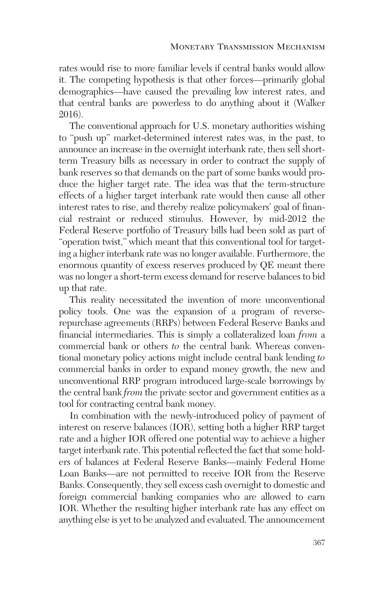rates would rise to more familiar levels if central banks would allow it. The competing hypothesis is that other forces—primarily global demographics—have caused the prevailing low interest rates, and that central banks are powerless to do anything about it (Walker 2016).

The conventional approach for U.S. monetary authorities wishing to "push up" market-determined interest rates was, in the past, to announce an increase in the overnight interbank rate, then sell shortterm Treasury bills as necessary in order to contract the supply of bank reserves so that demands on the part of some banks would produce the higher target rate. The idea was that the term-structure effects of a higher target interbank rate would then cause all other interest rates to rise, and thereby realize policymakers' goal of financial restraint or reduced stimulus. However, by mid-2012 the Federal Reserve portfolio of Treasury bills had been sold as part of "operation twist," which meant that this conventional tool for targeting a higher interbank rate was no longer available. Furthermore, the enormous quantity of excess reserves produced by QE meant there was no longer a short-term excess demand for reserve balances to bid up that rate.

This reality necessitated the invention of more unconventional policy tools. One was the expansion of a program of reverserepurchase agreements (RRPs) between Federal Reserve Banks and financial intermediaries. This is simply a collateralized loan *from* a commercial bank or others *to* the central bank. Whereas conventional monetary policy actions might include central bank lending *to* commercial banks in order to expand money growth, the new and unconventional RRP program introduced large-scale borrowings by the central bank *from* the private sector and government entities as a tool for contracting central bank money.

In combination with the newly-introduced policy of payment of interest on reserve balances (IOR), setting both a higher RRP target rate and a higher IOR offered one potential way to achieve a higher target interbank rate. This potential reflected the fact that some holders of balances at Federal Reserve Banks—mainly Federal Home Loan Banks—are not permitted to receive IOR from the Reserve Banks. Consequently, they sell excess cash overnight to domestic and foreign commercial banking companies who are allowed to earn IOR. Whether the resulting higher interbank rate has any effect on anything else is yet to be analyzed and evaluated. The announcement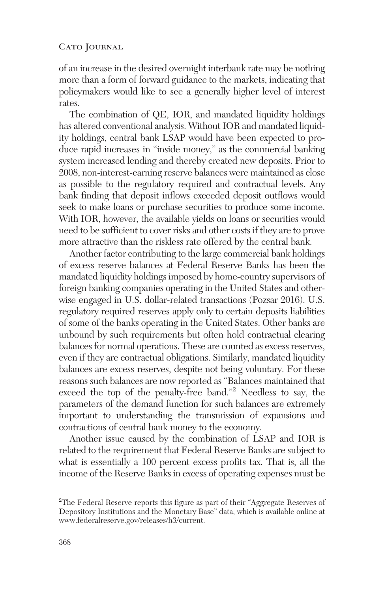of an increase in the desired overnight interbank rate may be nothing more than a form of forward guidance to the markets, indicating that policymakers would like to see a generally higher level of interest rates.

The combination of QE, IOR, and mandated liquidity holdings has altered conventional analysis. Without IOR and mandated liquidity holdings, central bank LSAP would have been expected to produce rapid increases in "inside money," as the commercial banking system increased lending and thereby created new deposits. Prior to 2008, non-interest-earning reserve balances were maintained as close as possible to the regulatory required and contractual levels. Any bank finding that deposit inflows exceeded deposit outflows would seek to make loans or purchase securities to produce some income. With IOR, however, the available yields on loans or securities would need to be sufficient to cover risks and other costs if they are to prove more attractive than the riskless rate offered by the central bank.

Another factor contributing to the large commercial bank holdings of excess reserve balances at Federal Reserve Banks has been the mandated liquidity holdings imposed by home-country supervisors of foreign banking companies operating in the United States and otherwise engaged in U.S. dollar-related transactions (Pozsar 2016). U.S. regulatory required reserves apply only to certain deposits liabilities of some of the banks operating in the United States. Other banks are unbound by such requirements but often hold contractual clearing balances for normal operations. These are counted as excess reserves, even if they are contractual obligations. Similarly, mandated liquidity balances are excess reserves, despite not being voluntary. For these reasons such balances are now reported as "Balances maintained that exceed the top of the penalty-free band."2 Needless to say, the parameters of the demand function for such balances are extremely important to understanding the transmission of expansions and contractions of central bank money to the economy.

Another issue caused by the combination of LSAP and IOR is related to the requirement that Federal Reserve Banks are subject to what is essentially a 100 percent excess profits tax. That is, all the income of the Reserve Banks in excess of operating expenses must be

<sup>&</sup>lt;sup>2</sup>The Federal Reserve reports this figure as part of their "Aggregate Reserves of Depository Institutions and the Monetary Base" data, which is available online at www.federalreserve.gov/releases/h3/current.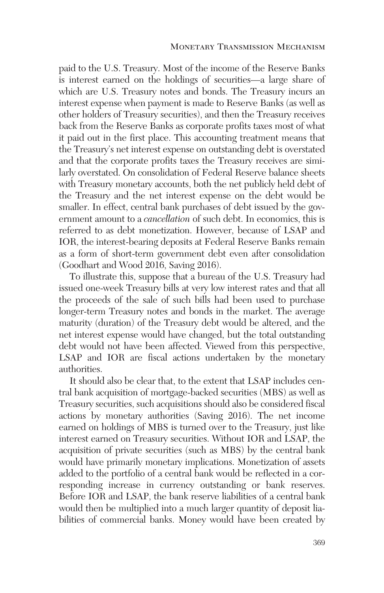paid to the U.S. Treasury. Most of the income of the Reserve Banks is interest earned on the holdings of securities—a large share of which are U.S. Treasury notes and bonds. The Treasury incurs an interest expense when payment is made to Reserve Banks (as well as other holders of Treasury securities), and then the Treasury receives back from the Reserve Banks as corporate profits taxes most of what it paid out in the first place. This accounting treatment means that the Treasury's net interest expense on outstanding debt is overstated and that the corporate profits taxes the Treasury receives are similarly overstated. On consolidation of Federal Reserve balance sheets with Treasury monetary accounts, both the net publicly held debt of the Treasury and the net interest expense on the debt would be smaller. In effect, central bank purchases of debt issued by the government amount to a *cancellation* of such debt. In economics, this is referred to as debt monetization. However, because of LSAP and IOR, the interest-bearing deposits at Federal Reserve Banks remain as a form of short-term government debt even after consolidation (Goodhart and Wood 2016, Saving 2016).

To illustrate this, suppose that a bureau of the U.S. Treasury had issued one-week Treasury bills at very low interest rates and that all the proceeds of the sale of such bills had been used to purchase longer-term Treasury notes and bonds in the market. The average maturity (duration) of the Treasury debt would be altered, and the net interest expense would have changed, but the total outstanding debt would not have been affected. Viewed from this perspective, LSAP and IOR are fiscal actions undertaken by the monetary authorities.

It should also be clear that, to the extent that LSAP includes central bank acquisition of mortgage-backed securities (MBS) as well as Treasury securities, such acquisitions should also be considered fiscal actions by monetary authorities (Saving 2016). The net income earned on holdings of MBS is turned over to the Treasury, just like interest earned on Treasury securities. Without IOR and LSAP, the acquisition of private securities (such as MBS) by the central bank would have primarily monetary implications. Monetization of assets added to the portfolio of a central bank would be reflected in a corresponding increase in currency outstanding or bank reserves. Before IOR and LSAP, the bank reserve liabilities of a central bank would then be multiplied into a much larger quantity of deposit liabilities of commercial banks. Money would have been created by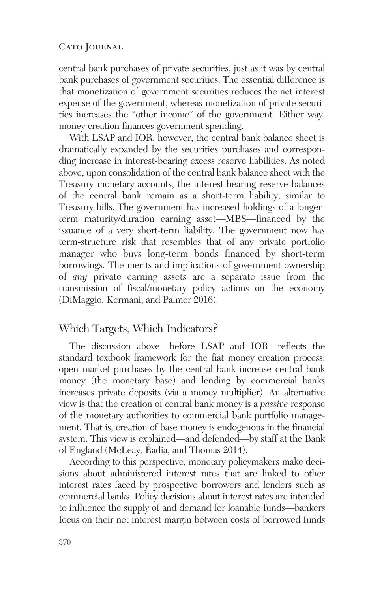central bank purchases of private securities, just as it was by central bank purchases of government securities. The essential difference is that monetization of government securities reduces the net interest expense of the government, whereas monetization of private securities increases the "other income" of the government. Either way, money creation finances government spending.

With LSAP and IOR, however, the central bank balance sheet is dramatically expanded by the securities purchases and corresponding increase in interest-bearing excess reserve liabilities. As noted above, upon consolidation of the central bank balance sheet with the Treasury monetary accounts, the interest-bearing reserve balances of the central bank remain as a short-term liability, similar to Treasury bills. The government has increased holdings of a longerterm maturity/duration earning asset—MBS—financed by the issuance of a very short-term liability. The government now has term-structure risk that resembles that of any private portfolio manager who buys long-term bonds financed by short-term borrowings. The merits and implications of government ownership of *any* private earning assets are a separate issue from the transmission of fiscal/monetary policy actions on the economy (DiMaggio, Kermani, and Palmer 2016).

# Which Targets, Which Indicators?

The discussion above—before LSAP and IOR—reflects the standard textbook framework for the fiat money creation process: open market purchases by the central bank increase central bank money (the monetary base) and lending by commercial banks increases private deposits (via a money multiplier). An alternative view is that the creation of central bank money is a *passive* response of the monetary authorities to commercial bank portfolio management. That is, creation of base money is endogenous in the financial system. This view is explained—and defended—by staff at the Bank of England (McLeay, Radia, and Thomas 2014).

According to this perspective, monetary policymakers make decisions about administered interest rates that are linked to other interest rates faced by prospective borrowers and lenders such as commercial banks. Policy decisions about interest rates are intended to influence the supply of and demand for loanable funds—bankers focus on their net interest margin between costs of borrowed funds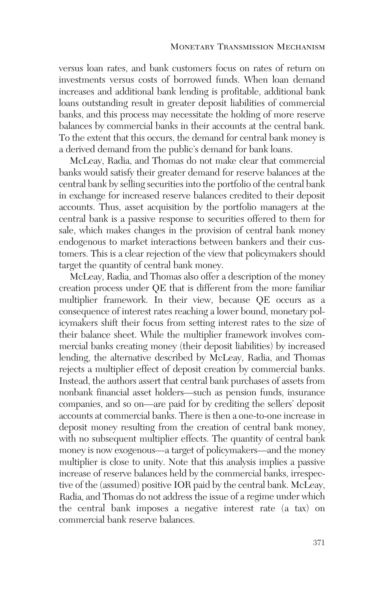versus loan rates, and bank customers focus on rates of return on investments versus costs of borrowed funds. When loan demand increases and additional bank lending is profitable, additional bank loans outstanding result in greater deposit liabilities of commercial banks, and this process may necessitate the holding of more reserve balances by commercial banks in their accounts at the central bank. To the extent that this occurs, the demand for central bank money is a derived demand from the public's demand for bank loans.

McLeay, Radia, and Thomas do not make clear that commercial banks would satisfy their greater demand for reserve balances at the central bank by selling securities into the portfolio of the central bank in exchange for increased reserve balances credited to their deposit accounts. Thus, asset acquisition by the portfolio managers at the central bank is a passive response to securities offered to them for sale, which makes changes in the provision of central bank money endogenous to market interactions between bankers and their customers. This is a clear rejection of the view that policymakers should target the quantity of central bank money.

McLeay, Radia, and Thomas also offer a description of the money creation process under QE that is different from the more familiar multiplier framework. In their view, because QE occurs as a consequence of interest rates reaching a lower bound, monetary policymakers shift their focus from setting interest rates to the size of their balance sheet. While the multiplier framework involves commercial banks creating money (their deposit liabilities) by increased lending, the alternative described by McLeay, Radia, and Thomas rejects a multiplier effect of deposit creation by commercial banks. Instead, the authors assert that central bank purchases of assets from nonbank financial asset holders—such as pension funds, insurance companies, and so on—are paid for by crediting the sellers' deposit accounts at commercial banks. There is then a one-to-one increase in deposit money resulting from the creation of central bank money, with no subsequent multiplier effects. The quantity of central bank money is now exogenous—a target of policymakers—and the money multiplier is close to unity. Note that this analysis implies a passive increase of reserve balances held by the commercial banks, irrespective of the (assumed) positive IOR paid by the central bank. McLeay, Radia, and Thomas do not address the issue of a regime under which the central bank imposes a negative interest rate (a tax) on commercial bank reserve balances.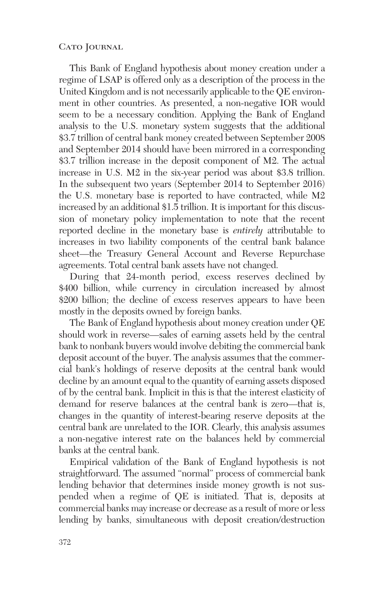This Bank of England hypothesis about money creation under a regime of LSAP is offered only as a description of the process in the United Kingdom and is not necessarily applicable to the QE environment in other countries. As presented, a non-negative IOR would seem to be a necessary condition. Applying the Bank of England analysis to the U.S. monetary system suggests that the additional \$3.7 trillion of central bank money created between September 2008 and September 2014 should have been mirrored in a corresponding \$3.7 trillion increase in the deposit component of M2. The actual increase in U.S. M2 in the six-year period was about \$3.8 trillion. In the subsequent two years (September 2014 to September 2016) the U.S. monetary base is reported to have contracted, while M2 increased by an additional \$1.5 trillion. It is important for this discussion of monetary policy implementation to note that the recent reported decline in the monetary base is *entirely* attributable to increases in two liability components of the central bank balance sheet—the Treasury General Account and Reverse Repurchase agreements. Total central bank assets have not changed.

During that 24-month period, excess reserves declined by \$400 billion, while currency in circulation increased by almost \$200 billion; the decline of excess reserves appears to have been mostly in the deposits owned by foreign banks.

The Bank of England hypothesis about money creation under QE should work in reverse—sales of earning assets held by the central bank to nonbank buyers would involve debiting the commercial bank deposit account of the buyer. The analysis assumes that the commercial bank's holdings of reserve deposits at the central bank would decline by an amount equal to the quantity of earning assets disposed of by the central bank. Implicit in this is that the interest elasticity of demand for reserve balances at the central bank is zero—that is, changes in the quantity of interest-bearing reserve deposits at the central bank are unrelated to the IOR. Clearly, this analysis assumes a non-negative interest rate on the balances held by commercial banks at the central bank.

Empirical validation of the Bank of England hypothesis is not straightforward. The assumed "normal" process of commercial bank lending behavior that determines inside money growth is not suspended when a regime of QE is initiated. That is, deposits at commercial banks may increase or decrease as a result of more or less lending by banks, simultaneous with deposit creation/destruction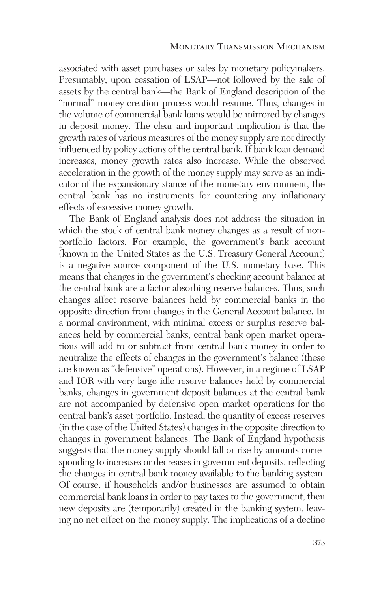associated with asset purchases or sales by monetary policymakers. Presumably, upon cessation of LSAP—not followed by the sale of assets by the central bank—the Bank of England description of the "normal" money-creation process would resume. Thus, changes in the volume of commercial bank loans would be mirrored by changes in deposit money. The clear and important implication is that the growth rates of various measures of the money supply are not directly influenced by policy actions of the central bank. If bank loan demand increases, money growth rates also increase. While the observed acceleration in the growth of the money supply may serve as an indicator of the expansionary stance of the monetary environment, the central bank has no instruments for countering any inflationary effects of excessive money growth.

The Bank of England analysis does not address the situation in which the stock of central bank money changes as a result of nonportfolio factors. For example, the government's bank account (known in the United States as the U.S. Treasury General Account) is a negative source component of the U.S. monetary base. This means that changes in the government's checking account balance at the central bank are a factor absorbing reserve balances. Thus, such changes affect reserve balances held by commercial banks in the opposite direction from changes in the General Account balance. In a normal environment, with minimal excess or surplus reserve balances held by commercial banks, central bank open market operations will add to or subtract from central bank money in order to neutralize the effects of changes in the government's balance (these are known as "defensive" operations). However, in a regime of LSAP and IOR with very large idle reserve balances held by commercial banks, changes in government deposit balances at the central bank are not accompanied by defensive open market operations for the central bank's asset portfolio. Instead, the quantity of excess reserves (in the case of the United States) changes in the opposite direction to changes in government balances. The Bank of England hypothesis suggests that the money supply should fall or rise by amounts corresponding to increases or decreases in government deposits, reflecting the changes in central bank money available to the banking system. Of course, if households and/or businesses are assumed to obtain commercial bank loans in order to pay taxes to the government, then new deposits are (temporarily) created in the banking system, leaving no net effect on the money supply. The implications of a decline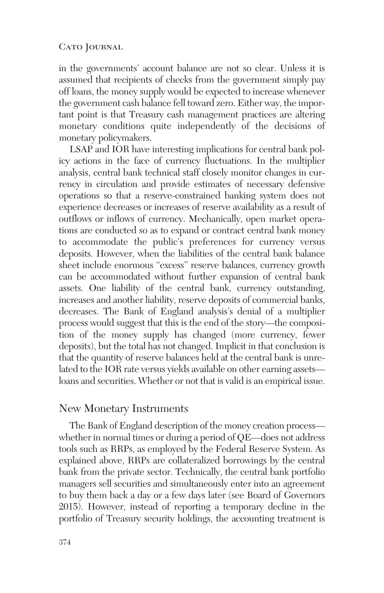in the governments' account balance are not so clear. Unless it is assumed that recipients of checks from the government simply pay off loans, the money supply would be expected to increase whenever the government cash balance fell toward zero. Either way, the important point is that Treasury cash management practices are altering monetary conditions quite independently of the decisions of monetary policymakers.

LSAP and IOR have interesting implications for central bank policy actions in the face of currency fluctuations. In the multiplier analysis, central bank technical staff closely monitor changes in currency in circulation and provide estimates of necessary defensive operations so that a reserve-constrained banking system does not experience decreases or increases of reserve availability as a result of outflows or inflows of currency. Mechanically, open market operations are conducted so as to expand or contract central bank money to accommodate the public's preferences for currency versus deposits. However, when the liabilities of the central bank balance sheet include enormous "excess" reserve balances, currency growth can be accommodated without further expansion of central bank assets. One liability of the central bank, currency outstanding, increases and another liability, reserve deposits of commercial banks, decreases. The Bank of England analysis's denial of a multiplier process would suggest that this is the end of the story—the composition of the money supply has changed (more currency, fewer deposits), but the total has not changed. Implicit in that conclusion is that the quantity of reserve balances held at the central bank is unrelated to the IOR rate versus yields available on other earning assets loans and securities. Whether or not that is valid is an empirical issue.

### New Monetary Instruments

The Bank of England description of the money creation process whether in normal times or during a period of QE—does not address tools such as RRPs, as employed by the Federal Reserve System. As explained above, RRPs are collateralized borrowings by the central bank from the private sector. Technically, the central bank portfolio managers sell securities and simultaneously enter into an agreement to buy them back a day or a few days later (see Board of Governors 2015). However, instead of reporting a temporary decline in the portfolio of Treasury security holdings, the accounting treatment is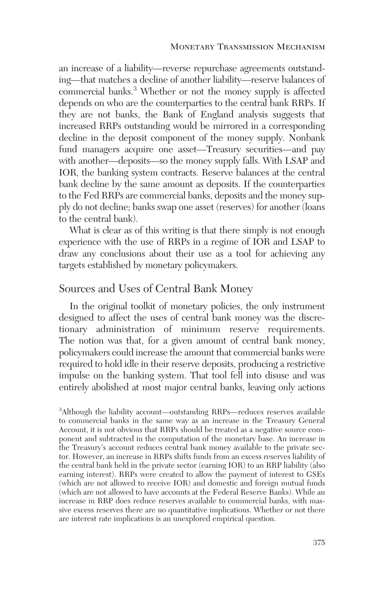an increase of a liability—reverse repurchase agreements outstanding—that matches a decline of another liability—reserve balances of commercial banks.3 Whether or not the money supply is affected depends on who are the counterparties to the central bank RRPs. If they are not banks, the Bank of England analysis suggests that increased RRPs outstanding would be mirrored in a corresponding decline in the deposit component of the money supply. Nonbank fund managers acquire one asset—Treasury securities—and pay with another—deposits—so the money supply falls. With LSAP and IOR, the banking system contracts. Reserve balances at the central bank decline by the same amount as deposits. If the counterparties to the Fed RRPs are commercial banks, deposits and the money supply do not decline; banks swap one asset (reserves) for another (loans to the central bank).

What is clear as of this writing is that there simply is not enough experience with the use of RRPs in a regime of IOR and LSAP to draw any conclusions about their use as a tool for achieving any targets established by monetary policymakers.

# Sources and Uses of Central Bank Money

In the original toolkit of monetary policies, the only instrument designed to affect the uses of central bank money was the discretionary administration of minimum reserve requirements. The notion was that, for a given amount of central bank money, policymakers could increase the amount that commercial banks were required to hold idle in their reserve deposits, producing a restrictive impulse on the banking system. That tool fell into disuse and was entirely abolished at most major central banks, leaving only actions

<sup>&</sup>lt;sup>3</sup>Although the liability account—outstanding RRPs—reduces reserves available to commercial banks in the same way as an increase in the Treasury General Account, it is not obvious that RRPs should be treated as a negative source component and subtracted in the computation of the monetary base. An increase in the Treasury's account reduces central bank money available to the private sector. However, an increase in RRPs shifts funds from an excess reserves liability of the central bank held in the private sector (earning IOR) to an RRP liability (also earning interest). RRPs were created to allow the payment of interest to GSEs (which are not allowed to receive IOR) and domestic and foreign mutual funds (which are not allowed to have accounts at the Federal Reserve Banks). While an increase in RRP does reduce reserves available to commercial banks, with massive excess reserves there are no quantitative implications. Whether or not there are interest rate implications is an unexplored empirical question.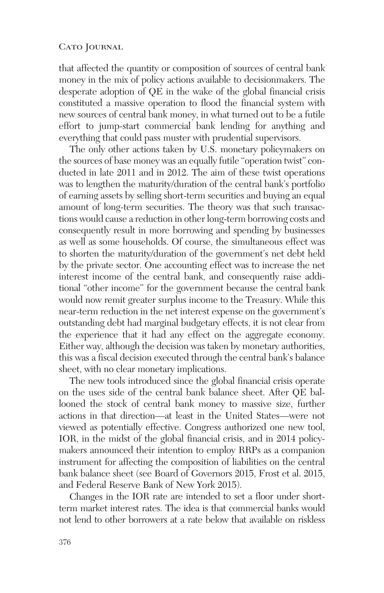that affected the quantity or composition of sources of central bank money in the mix of policy actions available to decisionmakers. The desperate adoption of QE in the wake of the global financial crisis constituted a massive operation to flood the financial system with new sources of central bank money, in what turned out to be a futile effort to jump-start commercial bank lending for anything and everything that could pass muster with prudential supervisors.

The only other actions taken by U.S. monetary policymakers on the sources of base money was an equally futile "operation twist" conducted in late 2011 and in 2012. The aim of these twist operations was to lengthen the maturity/duration of the central bank's portfolio of earning assets by selling short-term securities and buying an equal amount of long-term securities. The theory was that such transactions would cause a reduction in other long-term borrowing costs and consequently result in more borrowing and spending by businesses as well as some households. Of course, the simultaneous effect was to shorten the maturity/duration of the government's net debt held by the private sector. One accounting effect was to increase the net interest income of the central bank, and consequently raise additional "other income" for the government because the central bank would now remit greater surplus income to the Treasury. While this near-term reduction in the net interest expense on the government's outstanding debt had marginal budgetary effects, it is not clear from the experience that it had any effect on the aggregate economy. Either way, although the decision was taken by monetary authorities, this was a fiscal decision executed through the central bank's balance sheet, with no clear monetary implications.

The new tools introduced since the global financial crisis operate on the uses side of the central bank balance sheet. After QE ballooned the stock of central bank money to massive size, further actions in that direction—at least in the United States—were not viewed as potentially effective. Congress authorized one new tool, IOR, in the midst of the global financial crisis, and in 2014 policymakers announced their intention to employ RRPs as a companion instrument for affecting the composition of liabilities on the central bank balance sheet (see Board of Governors 2015, Frost et al. 2015, and Federal Reserve Bank of New York 2015).

Changes in the IOR rate are intended to set a floor under shortterm market interest rates. The idea is that commercial banks would not lend to other borrowers at a rate below that available on riskless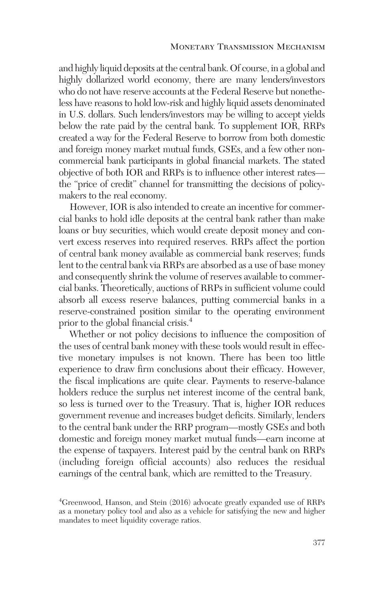and highly liquid deposits at the central bank. Of course, in a global and highly dollarized world economy, there are many lenders/investors who do not have reserve accounts at the Federal Reserve but nonetheless have reasons to hold low-risk and highly liquid assets denominated in U.S. dollars. Such lenders/investors may be willing to accept yields below the rate paid by the central bank. To supplement IOR, RRPs created a way for the Federal Reserve to borrow from both domestic and foreign money market mutual funds, GSEs, and a few other noncommercial bank participants in global financial markets. The stated objective of both IOR and RRPs is to influence other interest rates the "price of credit" channel for transmitting the decisions of policymakers to the real economy.

However, IOR is also intended to create an incentive for commercial banks to hold idle deposits at the central bank rather than make loans or buy securities, which would create deposit money and convert excess reserves into required reserves. RRPs affect the portion of central bank money available as commercial bank reserves; funds lent to the central bank via RRPs are absorbed as a use of base money and consequently shrink the volume of reserves available to commercial banks. Theoretically, auctions of RRPs in sufficient volume could absorb all excess reserve balances, putting commercial banks in a reserve-constrained position similar to the operating environment prior to the global financial crisis.4

Whether or not policy decisions to influence the composition of the uses of central bank money with these tools would result in effective monetary impulses is not known. There has been too little experience to draw firm conclusions about their efficacy. However, the fiscal implications are quite clear. Payments to reserve-balance holders reduce the surplus net interest income of the central bank, so less is turned over to the Treasury. That is, higher IOR reduces government revenue and increases budget deficits. Similarly, lenders to the central bank under the RRP program—mostly GSEs and both domestic and foreign money market mutual funds—earn income at the expense of taxpayers. Interest paid by the central bank on RRPs (including foreign official accounts) also reduces the residual earnings of the central bank, which are remitted to the Treasury.

<sup>4</sup> Greenwood, Hanson, and Stein (2016) advocate greatly expanded use of RRPs as a monetary policy tool and also as a vehicle for satisfying the new and higher mandates to meet liquidity coverage ratios.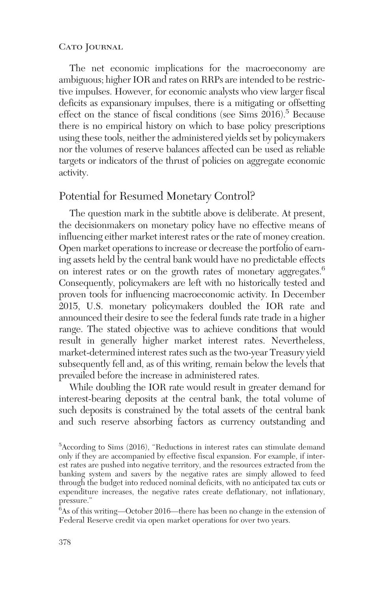The net economic implications for the macroeconomy are ambiguous; higher IOR and rates on RRPs are intended to be restrictive impulses. However, for economic analysts who view larger fiscal deficits as expansionary impulses, there is a mitigating or offsetting effect on the stance of fiscal conditions (see Sims  $2016$ ).<sup>5</sup> Because there is no empirical history on which to base policy prescriptions using these tools, neither the administered yields set by policymakers nor the volumes of reserve balances affected can be used as reliable targets or indicators of the thrust of policies on aggregate economic activity.

# Potential for Resumed Monetary Control?

The question mark in the subtitle above is deliberate. At present, the decisionmakers on monetary policy have no effective means of influencing either market interest rates or the rate of money creation. Open market operations to increase or decrease the portfolio of earning assets held by the central bank would have no predictable effects on interest rates or on the growth rates of monetary aggregates.<sup>6</sup> Consequently, policymakers are left with no historically tested and proven tools for influencing macroeconomic activity. In December 2015, U.S. monetary policymakers doubled the IOR rate and announced their desire to see the federal funds rate trade in a higher range. The stated objective was to achieve conditions that would result in generally higher market interest rates. Nevertheless, market-determined interest rates such as the two-year Treasury yield subsequently fell and, as of this writing, remain below the levels that prevailed before the increase in administered rates.

While doubling the IOR rate would result in greater demand for interest-bearing deposits at the central bank, the total volume of such deposits is constrained by the total assets of the central bank and such reserve absorbing factors as currency outstanding and

6 As of this writing—October 2016—there has been no change in the extension of Federal Reserve credit via open market operations for over two years.

<sup>&</sup>lt;sup>5</sup> According to Sims (2016), "Reductions in interest rates can stimulate demand only if they are accompanied by effective fiscal expansion. For example, if interest rates are pushed into negative territory, and the resources extracted from the banking system and savers by the negative rates are simply allowed to feed through the budget into reduced nominal deficits, with no anticipated tax cuts or expenditure increases, the negative rates create deflationary, not inflationary, pressure."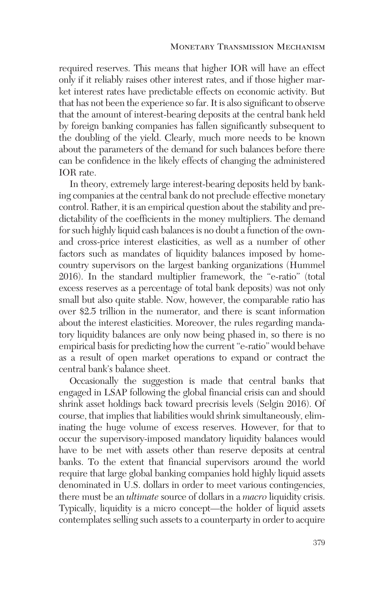required reserves. This means that higher IOR will have an effect only if it reliably raises other interest rates, and if those higher market interest rates have predictable effects on economic activity. But that has not been the experience so far. It is also significant to observe that the amount of interest-bearing deposits at the central bank held by foreign banking companies has fallen significantly subsequent to the doubling of the yield. Clearly, much more needs to be known about the parameters of the demand for such balances before there can be confidence in the likely effects of changing the administered IOR rate.

In theory, extremely large interest-bearing deposits held by banking companies at the central bank do not preclude effective monetary control. Rather, it is an empirical question about the stability and predictability of the coefficients in the money multipliers. The demand for such highly liquid cash balances is no doubt a function of the ownand cross-price interest elasticities, as well as a number of other factors such as mandates of liquidity balances imposed by homecountry supervisors on the largest banking organizations (Hummel 2016). In the standard multiplier framework, the "e-ratio" (total excess reserves as a percentage of total bank deposits) was not only small but also quite stable. Now, however, the comparable ratio has over \$2.5 trillion in the numerator, and there is scant information about the interest elasticities. Moreover, the rules regarding mandatory liquidity balances are only now being phased in, so there is no empirical basis for predicting how the current "e-ratio" would behave as a result of open market operations to expand or contract the central bank's balance sheet.

Occasionally the suggestion is made that central banks that engaged in LSAP following the global financial crisis can and should shrink asset holdings back toward precrisis levels (Selgin 2016). Of course, that implies that liabilities would shrink simultaneously, eliminating the huge volume of excess reserves. However, for that to occur the supervisory-imposed mandatory liquidity balances would have to be met with assets other than reserve deposits at central banks. To the extent that financial supervisors around the world require that large global banking companies hold highly liquid assets denominated in U.S. dollars in order to meet various contingencies, there must be an *ultimate* source of dollars in a *macro* liquidity crisis. Typically, liquidity is a micro concept—the holder of liquid assets contemplates selling such assets to a counterparty in order to acquire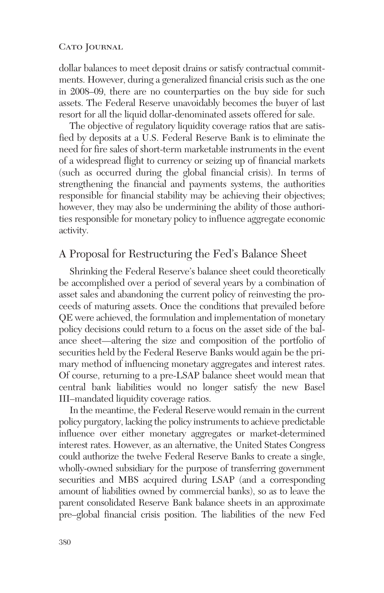dollar balances to meet deposit drains or satisfy contractual commitments. However, during a generalized financial crisis such as the one in 2008–09, there are no counterparties on the buy side for such assets. The Federal Reserve unavoidably becomes the buyer of last resort for all the liquid dollar-denominated assets offered for sale.

The objective of regulatory liquidity coverage ratios that are satisfied by deposits at a U.S. Federal Reserve Bank is to eliminate the need for fire sales of short-term marketable instruments in the event of a widespread flight to currency or seizing up of financial markets (such as occurred during the global financial crisis). In terms of strengthening the financial and payments systems, the authorities responsible for financial stability may be achieving their objectives; however, they may also be undermining the ability of those authorities responsible for monetary policy to influence aggregate economic activity.

# A Proposal for Restructuring the Fed's Balance Sheet

Shrinking the Federal Reserve's balance sheet could theoretically be accomplished over a period of several years by a combination of asset sales and abandoning the current policy of reinvesting the proceeds of maturing assets. Once the conditions that prevailed before QE were achieved, the formulation and implementation of monetary policy decisions could return to a focus on the asset side of the balance sheet—altering the size and composition of the portfolio of securities held by the Federal Reserve Banks would again be the primary method of influencing monetary aggregates and interest rates. Of course, returning to a pre-LSAP balance sheet would mean that central bank liabilities would no longer satisfy the new Basel III–mandated liquidity coverage ratios.

In the meantime, the Federal Reserve would remain in the current policy purgatory, lacking the policy instruments to achieve predictable influence over either monetary aggregates or market-determined interest rates. However, as an alternative, the United States Congress could authorize the twelve Federal Reserve Banks to create a single, wholly-owned subsidiary for the purpose of transferring government securities and MBS acquired during LSAP (and a corresponding amount of liabilities owned by commercial banks), so as to leave the parent consolidated Reserve Bank balance sheets in an approximate pre–global financial crisis position. The liabilities of the new Fed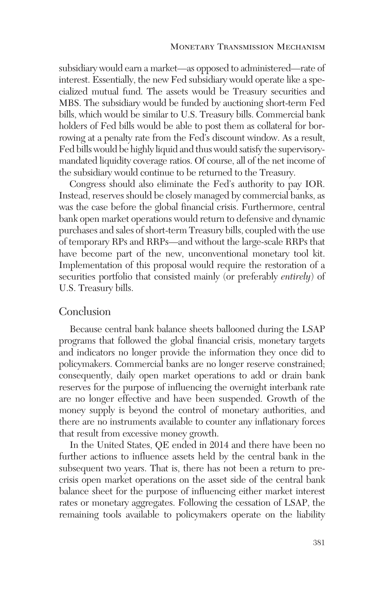subsidiary would earn a market—as opposed to administered—rate of interest. Essentially, the new Fed subsidiary would operate like a specialized mutual fund. The assets would be Treasury securities and MBS. The subsidiary would be funded by auctioning short-term Fed bills, which would be similar to U.S. Treasury bills. Commercial bank holders of Fed bills would be able to post them as collateral for borrowing at a penalty rate from the Fed's discount window. As a result, Fed bills would be highly liquid and thus would satisfy the supervisorymandated liquidity coverage ratios. Of course, all of the net income of the subsidiary would continue to be returned to the Treasury.

Congress should also eliminate the Fed's authority to pay IOR. Instead, reserves should be closely managed by commercial banks, as was the case before the global financial crisis. Furthermore, central bank open market operations would return to defensive and dynamic purchases and sales of short-term Treasury bills, coupled with the use of temporary RPs and RRPs—and without the large-scale RRPs that have become part of the new, unconventional monetary tool kit. Implementation of this proposal would require the restoration of a securities portfolio that consisted mainly (or preferably *entirely*) of U.S. Treasury bills.

### Conclusion

Because central bank balance sheets ballooned during the LSAP programs that followed the global financial crisis, monetary targets and indicators no longer provide the information they once did to policymakers. Commercial banks are no longer reserve constrained; consequently, daily open market operations to add or drain bank reserves for the purpose of influencing the overnight interbank rate are no longer effective and have been suspended. Growth of the money supply is beyond the control of monetary authorities, and there are no instruments available to counter any inflationary forces that result from excessive money growth.

In the United States, QE ended in 2014 and there have been no further actions to influence assets held by the central bank in the subsequent two years. That is, there has not been a return to precrisis open market operations on the asset side of the central bank balance sheet for the purpose of influencing either market interest rates or monetary aggregates. Following the cessation of LSAP, the remaining tools available to policymakers operate on the liability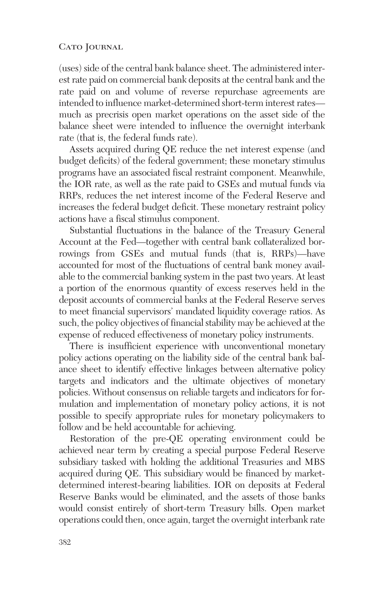(uses) side of the central bank balance sheet. The administered interest rate paid on commercial bank deposits at the central bank and the rate paid on and volume of reverse repurchase agreements are intended to influence market-determined short-term interest rates much as precrisis open market operations on the asset side of the balance sheet were intended to influence the overnight interbank rate (that is, the federal funds rate).

Assets acquired during QE reduce the net interest expense (and budget deficits) of the federal government; these monetary stimulus programs have an associated fiscal restraint component. Meanwhile, the IOR rate, as well as the rate paid to GSEs and mutual funds via RRPs, reduces the net interest income of the Federal Reserve and increases the federal budget deficit. These monetary restraint policy actions have a fiscal stimulus component.

Substantial fluctuations in the balance of the Treasury General Account at the Fed—together with central bank collateralized borrowings from GSEs and mutual funds (that is, RRPs)—have accounted for most of the fluctuations of central bank money available to the commercial banking system in the past two years. At least a portion of the enormous quantity of excess reserves held in the deposit accounts of commercial banks at the Federal Reserve serves to meet financial supervisors' mandated liquidity coverage ratios. As such, the policy objectives of financial stability may be achieved at the expense of reduced effectiveness of monetary policy instruments.

There is insufficient experience with unconventional monetary policy actions operating on the liability side of the central bank balance sheet to identify effective linkages between alternative policy targets and indicators and the ultimate objectives of monetary policies. Without consensus on reliable targets and indicators for formulation and implementation of monetary policy actions, it is not possible to specify appropriate rules for monetary policymakers to follow and be held accountable for achieving.

Restoration of the pre-QE operating environment could be achieved near term by creating a special purpose Federal Reserve subsidiary tasked with holding the additional Treasuries and MBS acquired during QE. This subsidiary would be financed by marketdetermined interest-bearing liabilities. IOR on deposits at Federal Reserve Banks would be eliminated, and the assets of those banks would consist entirely of short-term Treasury bills. Open market operations could then, once again, target the overnight interbank rate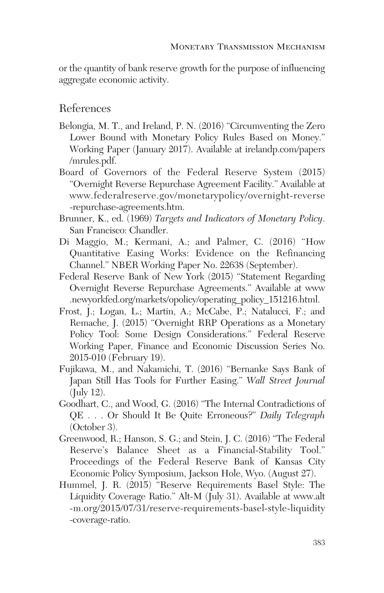or the quantity of bank reserve growth for the purpose of influencing aggregate economic activity.

# References

- Belongia, M. T., and Ireland, P. N. (2016) "Circumventing the Zero Lower Bound with Monetary Policy Rules Based on Money." Working Paper (January 2017). Available at irelandp.com/papers /mrules.pdf.
- Board of Governors of the Federal Reserve System (2015) "Overnight Reverse Repurchase Agreement Facility." Available at www.federalreserve.gov/monetarypolicy/overnight-reverse -repurchase-agreements.htm.
- Brunner, K., ed. (1969) *Targets and Indicators of Monetary Policy*. San Francisco: Chandler.
- Di Maggio, M.; Kermani, A.; and Palmer, C. (2016) "How Quantitative Easing Works: Evidence on the Refinancing Channel." NBER Working Paper No. 22638 (September).
- Federal Reserve Bank of New York (2015) "Statement Regarding Overnight Reverse Repurchase Agreements." Available at www .newyorkfed.org/markets/opolicy/operating\_policy\_151216.html.
- Frost, J.; Logan, L.; Martin, A.; McCabe, P.; Natalucci, F.; and Remache, J. (2015) "Overnight RRP Operations as a Monetary Policy Tool: Some Design Considerations." Federal Reserve Working Paper, Finance and Economic Discussion Series No. 2015-010 (February 19).
- Fujikawa, M., and Nakamichi, T. (2016) "Bernanke Says Bank of Japan Still Has Tools for Further Easing." *Wall Street Journal* (July 12).
- Goodhart, C., and Wood, G. (2016) "The Internal Contradictions of QE . . . Or Should It Be Quite Erroneous?" *Daily Telegraph* (October 3).
- Greenwood, R.; Hanson, S. G.; and Stein, J. C. (2016) "The Federal Reserve's Balance Sheet as a Financial-Stability Tool." Proceedings of the Federal Reserve Bank of Kansas City Economic Policy Symposium, Jackson Hole, Wyo. (August 27).
- Hummel, J. R. (2015) "Reserve Requirements Basel Style: The Liquidity Coverage Ratio." Alt-M (July 31). Available at www.alt -m.org/2015/07/31/reserve-requirements-basel-style-liquidity -coverage-ratio.